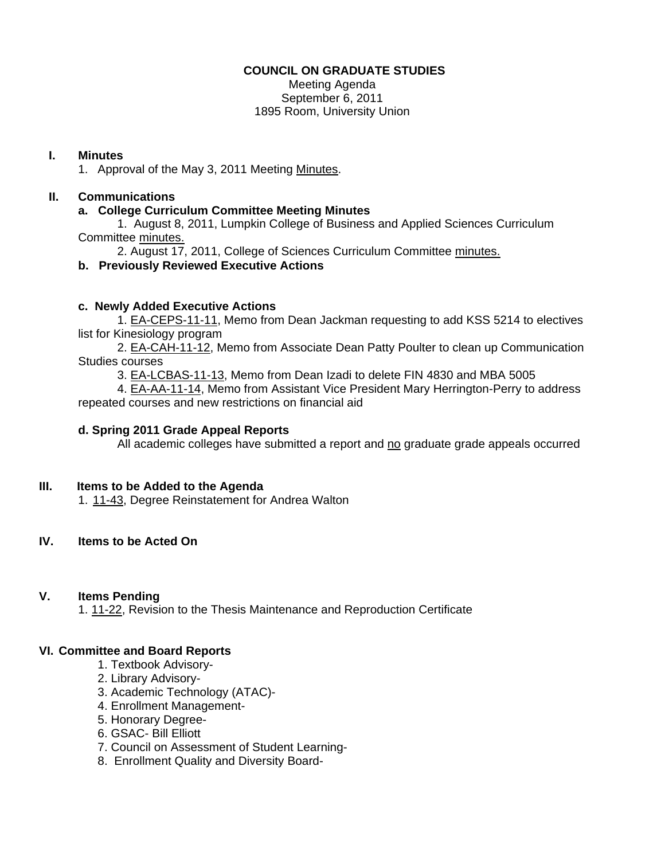#### **COUNCIL ON GRADUATE STUDIES**

Meeting Agenda September 6, 2011 1895 Room, University Union

#### **I. Minutes**

1. Approval of the May 3, 2011 Meetin[g Minutes.](http://castle.eiu.edu/eiucgs/currentminutes/Minutes5-3-11.pdf) 

## **II. Communications**

### **a. College Curriculum Committee Meeting Minutes**

 1. August 8, 2011, Lumpkin College of Business and Applied Sciences Curriculum Committe[e minutes.](http://castle.eiu.edu/~eiucgs/currentagendaitems/LCBASMin8-8-11.pdf) 

2. August 17, 2011, College of Sciences Curriculum Committe[e minutes.](http://castle.eiu.edu/~eiucgs/currentagendaitems/COSMin8-17-11.pdf) 

## **b. Previously Reviewed Executive Actions**

#### **c. Newly Added Executive Actions**

 1[. EA-CEPS-11-11,](http://castle.eiu.edu/~eiucgs/exec-actions/EA-CEPS-11-11.pdf) Memo from Dean Jackman requesting to add KSS 5214 to electives list for Kinesiology program

 [2. EA-CAH-11-12, M](http://castle.eiu.edu/~eiucgs/exec-actions/EA-CAH-11-12.pdf)emo from Associate Dean Patty Poulter to clean up Communication Studies courses

[3. EA-LCBAS-11-13, M](http://castle.eiu.edu/~eiucgs/exec-actions/EA-LCBAS-11-13.pdf)emo from Dean Izadi to delete FIN 4830 and MBA 5005

 4[. EA-AA-11-14,](http://castle.eiu.edu/~eiucgs/exec-actions/EA-AA-11-14.pdf) Memo from Assistant Vice President Mary Herrington-Perry to address repeated courses and new restrictions on financial aid

#### **d. Spring 2011 Grade Appeal Reports**

All academic colleges have submitted a report and no graduate grade appeals occurred

#### **III. Items to be Added to the Agenda**

1[. 11-43, D](http://castle.eiu.edu/~eiucgs/currentagendaitems/agenda11-43.pdf)egree Reinstatement for Andrea Walton

## **IV. Items to be Acted On**

#### **V. Items Pending**

1[. 11-22, R](http://castle.eiu.edu/~eiucgs/currentagendaitems/agenda11-22.pdf)evision to the Thesis Maintenance and Reproduction Certificate

#### **VI. Committee and Board Reports**

- 1. Textbook Advisory-
- 2. Library Advisory-
- 3. Academic Technology (ATAC)-
- 4. Enrollment Management-
- 5. Honorary Degree-
- 6. GSAC- Bill Elliott
- 7. Council on Assessment of Student Learning-
- 8. Enrollment Quality and Diversity Board-